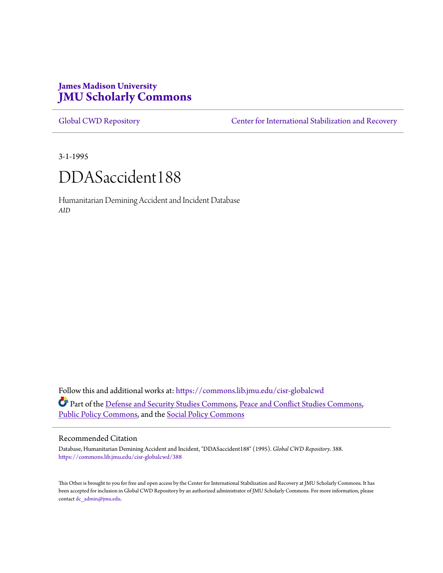# **James Madison University [JMU Scholarly Commons](https://commons.lib.jmu.edu?utm_source=commons.lib.jmu.edu%2Fcisr-globalcwd%2F388&utm_medium=PDF&utm_campaign=PDFCoverPages)**

[Global CWD Repository](https://commons.lib.jmu.edu/cisr-globalcwd?utm_source=commons.lib.jmu.edu%2Fcisr-globalcwd%2F388&utm_medium=PDF&utm_campaign=PDFCoverPages) **[Center for International Stabilization and Recovery](https://commons.lib.jmu.edu/cisr?utm_source=commons.lib.jmu.edu%2Fcisr-globalcwd%2F388&utm_medium=PDF&utm_campaign=PDFCoverPages)** 

3-1-1995

# DDASaccident188

Humanitarian Demining Accident and Incident Database *AID*

Follow this and additional works at: [https://commons.lib.jmu.edu/cisr-globalcwd](https://commons.lib.jmu.edu/cisr-globalcwd?utm_source=commons.lib.jmu.edu%2Fcisr-globalcwd%2F388&utm_medium=PDF&utm_campaign=PDFCoverPages) Part of the [Defense and Security Studies Commons](http://network.bepress.com/hgg/discipline/394?utm_source=commons.lib.jmu.edu%2Fcisr-globalcwd%2F388&utm_medium=PDF&utm_campaign=PDFCoverPages), [Peace and Conflict Studies Commons](http://network.bepress.com/hgg/discipline/397?utm_source=commons.lib.jmu.edu%2Fcisr-globalcwd%2F388&utm_medium=PDF&utm_campaign=PDFCoverPages), [Public Policy Commons,](http://network.bepress.com/hgg/discipline/400?utm_source=commons.lib.jmu.edu%2Fcisr-globalcwd%2F388&utm_medium=PDF&utm_campaign=PDFCoverPages) and the [Social Policy Commons](http://network.bepress.com/hgg/discipline/1030?utm_source=commons.lib.jmu.edu%2Fcisr-globalcwd%2F388&utm_medium=PDF&utm_campaign=PDFCoverPages)

#### Recommended Citation

Database, Humanitarian Demining Accident and Incident, "DDASaccident188" (1995). *Global CWD Repository*. 388. [https://commons.lib.jmu.edu/cisr-globalcwd/388](https://commons.lib.jmu.edu/cisr-globalcwd/388?utm_source=commons.lib.jmu.edu%2Fcisr-globalcwd%2F388&utm_medium=PDF&utm_campaign=PDFCoverPages)

This Other is brought to you for free and open access by the Center for International Stabilization and Recovery at JMU Scholarly Commons. It has been accepted for inclusion in Global CWD Repository by an authorized administrator of JMU Scholarly Commons. For more information, please contact [dc\\_admin@jmu.edu.](mailto:dc_admin@jmu.edu)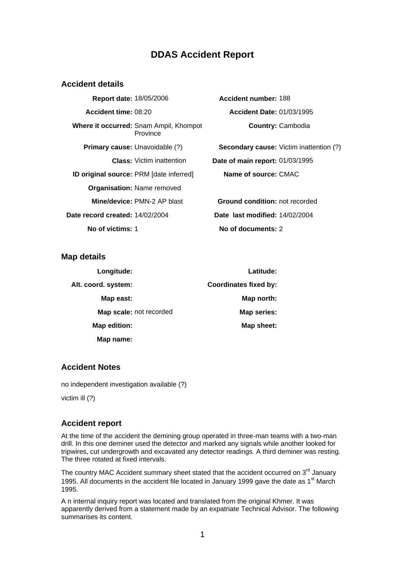## **DDAS Accident Report**

#### **Accident details**

**Report date:** 18/05/2006 **Accident number:** 188 **Accident time:** 08:20 **Accident Date:** 01/03/1995 **Where it occurred:** Snam Ampil, Khompot Province **ID original source:** PRM [date inferred] **Name of source:** CMAC **Organisation:** Name removed **Mine/device:** PMN-2 AP blast **Ground condition:** not recorded **Date record created:** 14/02/2004 **Date last modified:** 14/02/2004 **No of victims:** 1 **No of documents:** 2

**Country:** Cambodia

**Primary cause:** Unavoidable (?) **Secondary cause:** Victim inattention (?) **Class:** Victim inattention **Date of main report:** 01/03/1995

**Map details** 

| Longitude:              | Latitude:                    |
|-------------------------|------------------------------|
| Alt. coord. system:     | <b>Coordinates fixed by:</b> |
| Map east:               | Map north:                   |
| Map scale: not recorded | <b>Map series:</b>           |
| Map edition:            | Map sheet:                   |
| Map name:               |                              |

### **Accident Notes**

no independent investigation available (?)

victim ill (?)

## **Accident report**

At the time of the accident the demining group operated in three-man teams with a two-man drill. In this one deminer used the detector and marked any signals while another looked for tripwires, cut undergrowth and excavated any detector readings. A third deminer was resting. The three rotated at fixed intervals.

The country MAC Accident summary sheet stated that the accident occurred on  $3<sup>rd</sup>$  January 1995. All documents in the accident file located in January 1999 gave the date as 1<sup>st</sup> March 1995.

A n internal inquiry report was located and translated from the original Khmer. It was apparently derived from a statement made by an expatriate Technical Advisor. The following summarises its content.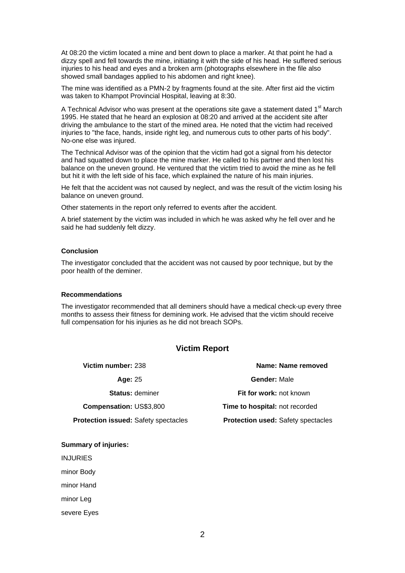At 08:20 the victim located a mine and bent down to place a marker. At that point he had a dizzy spell and fell towards the mine, initiating it with the side of his head. He suffered serious injuries to his head and eyes and a broken arm (photographs elsewhere in the file also showed small bandages applied to his abdomen and right knee).

The mine was identified as a PMN-2 by fragments found at the site. After first aid the victim was taken to Khampot Provincial Hospital, leaving at 8:30.

A Technical Advisor who was present at the operations site gave a statement dated  $1<sup>st</sup>$  March 1995. He stated that he heard an explosion at 08:20 and arrived at the accident site after driving the ambulance to the start of the mined area. He noted that the victim had received injuries to "the face, hands, inside right leg, and numerous cuts to other parts of his body". No-one else was injured.

The Technical Advisor was of the opinion that the victim had got a signal from his detector and had squatted down to place the mine marker. He called to his partner and then lost his balance on the uneven ground. He ventured that the victim tried to avoid the mine as he fell but hit it with the left side of his face, which explained the nature of his main injuries.

He felt that the accident was not caused by neglect, and was the result of the victim losing his balance on uneven ground.

Other statements in the report only referred to events after the accident.

A brief statement by the victim was included in which he was asked why he fell over and he said he had suddenly felt dizzy.

#### **Conclusion**

The investigator concluded that the accident was not caused by poor technique, but by the poor health of the deminer.

#### **Recommendations**

The investigator recommended that all deminers should have a medical check-up every three months to assess their fitness for demining work. He advised that the victim should receive full compensation for his injuries as he did not breach SOPs.

#### **Victim Report**

| Victim number: 238                          | Name: Name removed                        |
|---------------------------------------------|-------------------------------------------|
| Age: 25                                     | <b>Gender: Male</b>                       |
| <b>Status: deminer</b>                      | Fit for work: not known                   |
| <b>Compensation: US\$3,800</b>              | <b>Time to hospital: not recorded</b>     |
| <b>Protection issued: Safety spectacles</b> | <b>Protection used: Safety spectacles</b> |

#### **Summary of injuries:**

INJURIES

minor Body

minor Hand

minor Leg

severe Eyes